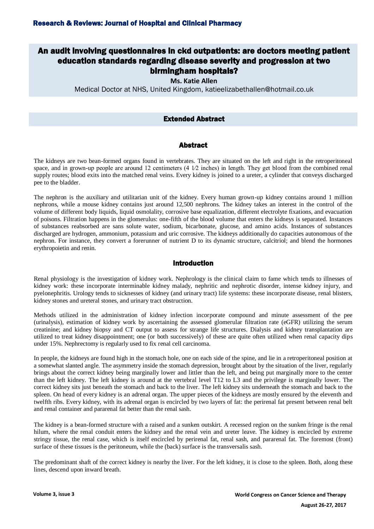# An audit involving questionnaires in ckd outpatients: are doctors meeting patient education standards regarding disease severity and progression at two birmingham hospitals?

**Ms. Katie Allen**

Medical Doctor at NHS, United Kingdom, katieelizabethallen@hotmail.co.uk

# Extended Abstract

## Abstract

The kidneys are two bean-formed organs found in vertebrates. They are situated on the left and right in the retroperitoneal space, and in grown-up people are around 12 centimeters (4  $1/2$  inches) in length. They get blood from the combined renal supply routes; blood exits into the matched renal veins. Every kidney is joined to a ureter, a cylinder that conveys discharged pee to the bladder.

The nephron is the auxiliary and utilitarian unit of the kidney. Every human grown-up kidney contains around 1 million nephrons, while a mouse kidney contains just around 12,500 nephrons. The kidney takes an interest in the control of the volume of different body liquids, liquid osmolality, corrosive base equalization, different electrolyte fixations, and evacuation of poisons. Filtration happens in the glomerulus: one-fifth of the blood volume that enters the kidneys is separated. Instances of substances reabsorbed are sans solute water, sodium, bicarbonate, glucose, and amino acids. Instances of substances discharged are hydrogen, ammonium, potassium and uric corrosive. The kidneys additionally do capacities autonomous of the nephron. For instance, they convert a forerunner of nutrient D to its dynamic structure, calcitriol; and blend the hormones erythropoietin and renin.

#### Introduction

Renal physiology is the investigation of kidney work. Nephrology is the clinical claim to fame which tends to illnesses of kidney work: these incorporate interminable kidney malady, nephritic and nephrotic disorder, intense kidney injury, and pyelonephritis. Urology tends to sicknesses of kidney (and urinary tract) life systems: these incorporate disease, renal blisters, kidney stones and ureteral stones, and urinary tract obstruction.

Methods utilized in the administration of kidney infection incorporate compound and minute assessment of the pee (urinalysis), estimation of kidney work by ascertaining the assessed glomerular filtration rate (eGFR) utilizing the serum creatinine; and kidney biopsy and CT output to assess for strange life structures. Dialysis and kidney transplantation are utilized to treat kidney disappointment; one (or both successively) of these are quite often utilized when renal capacity dips under 15%. Nephrectomy is regularly used to fix renal cell carcinoma.

In people, the kidneys are found high in the stomach hole, one on each side of the spine, and lie in a retroperitoneal position at a somewhat slanted angle. The asymmetry inside the stomach depression, brought about by the situation of the liver, regularly brings about the correct kidney being marginally lower and littler than the left, and being put marginally more to the center than the left kidney. The left kidney is around at the vertebral level T12 to L3 and the privilege is marginally lower. The correct kidney sits just beneath the stomach and back to the liver. The left kidney sits underneath the stomach and back to the spleen. On head of every kidney is an adrenal organ. The upper pieces of the kidneys are mostly ensured by the eleventh and twelfth ribs. Every kidney, with its adrenal organ is encircled by two layers of fat: the perirenal fat present between renal belt and renal container and pararenal fat better than the renal sash.

The kidney is a bean-formed structure with a raised and a sunken outskirt. A recessed region on the sunken fringe is the renal hilum, where the renal conduit enters the kidney and the renal vein and ureter leave. The kidney is encircled by extreme stringy tissue, the renal case, which is itself encircled by perirenal fat, renal sash, and pararenal fat. The foremost (front) surface of these tissues is the peritoneum, while the (back) surface is the transversalis sash.

The predominant shaft of the correct kidney is nearby the liver. For the left kidney, it is close to the spleen. Both, along these lines, descend upon inward breath.